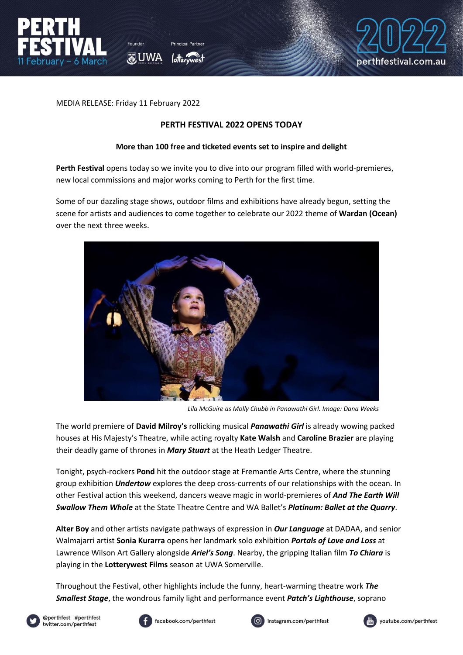

perthfestival.com.au

MEDIA RELEASE: Friday 11 February 2022

家UWA

#### **PERTH FESTIVAL 2022 OPENS TODAY**

#### **More than 100 free and ticketed events set to inspire and delight**

Perth Festival opens today so we invite you to dive into our program filled with world-premieres, new local commissions and major works coming to Perth for the first time.

Some of our dazzling stage shows, outdoor films and exhibitions have already begun, setting the scene for artists and audiences to come together to celebrate our 2022 theme of **Wardan (Ocean)** over the next three weeks.



*Lila McGuire as Molly Chubb in Panawathi Girl. Image: Dana Weeks*

The world premiere of **David Milroy's** rollicking musical *Panawathi Girl* is already wowing packed houses at His Majesty's Theatre, while acting royalty **Kate Walsh** and **Caroline Brazier** are playing their deadly game of thrones in *Mary Stuart* at the Heath Ledger Theatre.

Tonight, psych-rockers **Pond** hit the outdoor stage at Fremantle Arts Centre, where the stunning group exhibition *Undertow* explores the deep cross-currents of our relationships with the ocean. In other Festival action this weekend, dancers weave magic in world-premieres of *And The Earth Will Swallow Them Whole* at the State Theatre Centre and WA Ballet's *Platinum: Ballet at the Quarry*.

**Alter Boy** and other artists navigate pathways of expression in *Our Language* at DADAA, and senior Walmajarri artist **Sonia Kurarra** opens her landmark solo exhibition *Portals of Love and Loss* at Lawrence Wilson Art Gallery alongside *Ariel's Song*. Nearby, the gripping Italian film *To Chiara* is playing in the **Lotterywest Films** season at UWA Somerville.

Throughout the Festival, other highlights include the funny, heart-warming theatre work *The Smallest Stage*, the wondrous family light and performance event *Patch's Lighthouse*, soprano









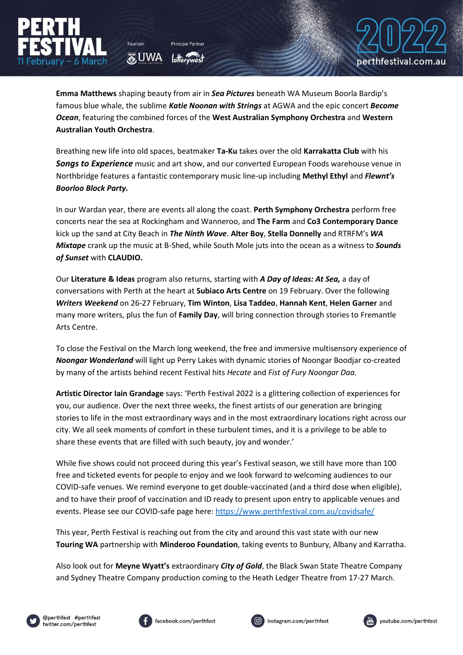**Emma Matthews** shaping beauty from air in *Sea Pictures* beneath WA Museum Boorla Bardip's famous blue whale, the sublime *Katie Noonan with Strings* at AGWA and the epic concert *Become Ocean*, featuring the combined forces of the **West Australian Symphony Orchestra** and **Western Australian Youth Orchestra**.

Founder

**O**UWA

Breathing new life into old spaces, beatmaker **Ta-Ku** takes over the old **Karrakatta Club** with his *Songs to Experience* music and art show, and our converted European Foods warehouse venue in Northbridge features a fantastic contemporary music line-up including **Methyl Ethyl** and *Flewnt's Boorloo Block Party.* 

In our Wardan year, there are events all along the coast. **Perth Symphony Orchestra** perform free concerts near the sea at Rockingham and Wanneroo, and **The Farm** and **Co3 Contemporary Dance**  kick up the sand at City Beach in *The Ninth Wave*. **Alter Boy**, **Stella Donnelly** and RTRFM's *WA Mixtape* crank up the music at B-Shed, while South Mole juts into the ocean as a witness to *Sounds of Sunset* with **CLAUDIO.**

Our **Literature & Ideas** program also returns, starting with *A Day of Ideas: At Sea,* a day of conversations with Perth at the heart at **Subiaco Arts Centre** on 19 February. Over the following *Writers Weekend* on 26-27 February, **Tim Winton**, **Lisa Taddeo**, **Hannah Kent**, **Helen Garner** and many more writers, plus the fun of **Family Day**, will bring connection through stories to Fremantle Arts Centre.

To close the Festival on the March long weekend, the free and immersive multisensory experience of *Noongar Wonderland* will light up Perry Lakes with dynamic stories of Noongar Boodjar co-created by many of the artists behind recent Festival hits *Hecate* and *Fist of Fury Noongar Daa*.

**Artistic Director Iain Grandage** says: 'Perth Festival 2022 is a glittering collection of experiences for you, our audience. Over the next three weeks, the finest artists of our generation are bringing stories to life in the most extraordinary ways and in the most extraordinary locations right across our city. We all seek moments of comfort in these turbulent times, and it is a privilege to be able to share these events that are filled with such beauty, joy and wonder.'

While five shows could not proceed during this year's Festival season, we still have more than 100 free and ticketed events for people to enjoy and we look forward to welcoming audiences to our COVID-safe venues. We remind everyone to get double-vaccinated (and a third dose when eligible), and to have their proof of vaccination and ID ready to present upon entry to applicable venues and events. Please see our COVID-safe page here:<https://www.perthfestival.com.au/covidsafe/>

This year, Perth Festival is reaching out from the city and around this vast state with our new **Touring WA** partnership with **Minderoo Foundation**, taking events to Bunbury, Albany and Karratha.

Also look out for **Meyne Wyatt's** extraordinary *City of Gold*, the Black Swan State Theatre Company and Sydney Theatre Company production coming to the Heath Ledger Theatre from 17-27 March.









perthfestival.com.au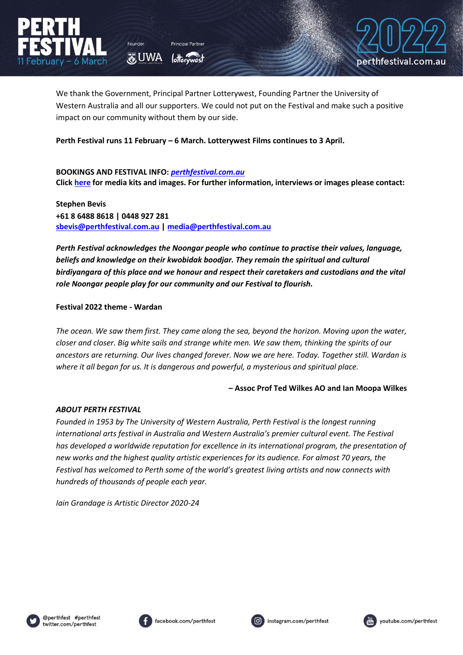

perthfestival.com.au

We thank the Government, Principal Partner Lotterywest, Founding Partner the University of Western Australia and all our supporters. We could not put on the Festival and make such a positive impact on our community without them by our side. 

**Perth Festival runs 11 February – 6 March. Lotterywest Films continues to 3 April.**

#### **BOOKINGS AND FESTIVAL INFO:** *[perthfestival.com.au](https://www.perthfestival.com.au/)* **Clic[k here](https://www.perthfestival.com.au/media) for media kits and images. For further information, interviews or images please contact:**

**Stephen Bevis +61 8 6488 8618 | 0448 927 281 [sbevis@perthfestival.com.au](mailto:sbevis@perthfestival.com.au) | [media@perthfestival.com.au](mailto:media@perthfestival.com.au)**

**O**UWA

*Perth Festival acknowledges the Noongar people who continue to practise their values, language, beliefs and knowledge on their kwobidak boodjar. They remain the spiritual and cultural birdiyangara of this place and we honour and respect their caretakers and custodians and the vital role Noongar people play for our community and our Festival to flourish.*

## **Festival 2022 theme - Wardan**

*The ocean. We saw them first. They came along the sea, beyond the horizon. Moving upon the water, closer and closer. Big white sails and strange white men. We saw them, thinking the spirits of our ancestors are returning. Our lives changed forever. Now we are here. Today. Together still. Wardan is where it all began for us. It is dangerous and powerful, a mysterious and spiritual place.* 

## **– Assoc Prof Ted Wilkes AO and Ian Moopa Wilkes**

## *ABOUT PERTH FESTIVAL*

*Founded in 1953 by The University of Western Australia, Perth Festival is the longest running international arts festival in Australia and Western Australia's premier cultural event. The Festival has developed a worldwide reputation for excellence in its international program, the presentation of new works and the highest quality artistic experiences for its audience. For almost 70 years, the Festival has welcomed to Perth some of the world's greatest living artists and now connects with hundreds of thousands of people each year.* 

*Iain Grandage is Artistic Director 2020-24*